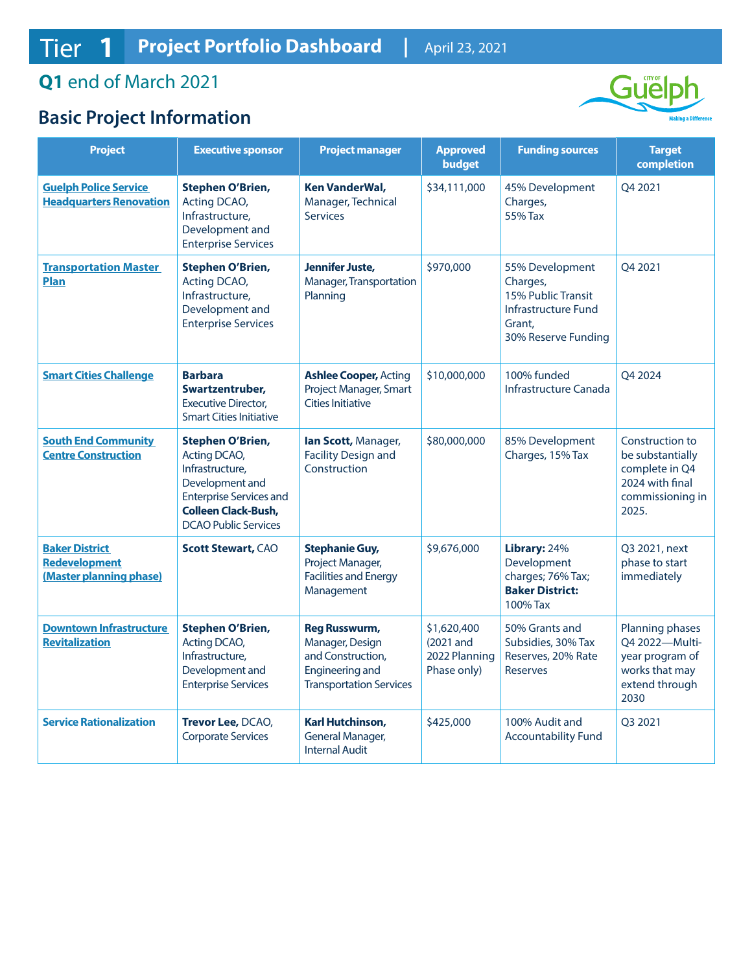## **Q1** end of March 2021

## **Basic Project Information**



| <b>Project</b>                                                           | <b>Executive sponsor</b>                                                                                                                                                     | <b>Project manager</b>                                                                                                   | <b>Approved</b><br><b>budget</b>                         | <b>Funding sources</b>                                                                                           | <b>Target</b><br>completion                                                                           |
|--------------------------------------------------------------------------|------------------------------------------------------------------------------------------------------------------------------------------------------------------------------|--------------------------------------------------------------------------------------------------------------------------|----------------------------------------------------------|------------------------------------------------------------------------------------------------------------------|-------------------------------------------------------------------------------------------------------|
| <b>Guelph Police Service</b><br><b>Headquarters Renovation</b>           | <b>Stephen O'Brien,</b><br>Acting DCAO,<br>Infrastructure,<br>Development and<br><b>Enterprise Services</b>                                                                  | <b>Ken VanderWal,</b><br>Manager, Technical<br><b>Services</b>                                                           | \$34,111,000                                             | 45% Development<br>Charges,<br>55% Tax                                                                           | O4 2021                                                                                               |
| <b>Transportation Master</b><br>Plan                                     | <b>Stephen O'Brien,</b><br>Acting DCAO,<br>Infrastructure,<br>Development and<br><b>Enterprise Services</b>                                                                  | Jennifer Juste,<br>Manager, Transportation<br>Planning                                                                   | \$970,000                                                | 55% Development<br>Charges,<br>15% Public Transit<br><b>Infrastructure Fund</b><br>Grant,<br>30% Reserve Funding | Q4 2021                                                                                               |
| <b>Smart Cities Challenge</b>                                            | <b>Barbara</b><br>Swartzentruber,<br><b>Executive Director.</b><br><b>Smart Cities Initiative</b>                                                                            | <b>Ashlee Cooper, Acting</b><br>Project Manager, Smart<br><b>Cities Initiative</b>                                       | \$10,000,000                                             | 100% funded<br>Infrastructure Canada                                                                             | Q4 2024                                                                                               |
| <b>South End Community</b><br><b>Centre Construction</b>                 | <b>Stephen O'Brien,</b><br>Acting DCAO,<br>Infrastructure,<br>Development and<br><b>Enterprise Services and</b><br><b>Colleen Clack-Bush,</b><br><b>DCAO Public Services</b> | lan Scott, Manager,<br><b>Facility Design and</b><br>Construction                                                        | \$80,000,000                                             | 85% Development<br>Charges, 15% Tax                                                                              | Construction to<br>be substantially<br>complete in Q4<br>2024 with final<br>commissioning in<br>2025. |
| <b>Baker District</b><br><b>Redevelopment</b><br>(Master planning phase) | <b>Scott Stewart, CAO</b>                                                                                                                                                    | <b>Stephanie Guy,</b><br>Project Manager,<br><b>Facilities and Energy</b><br>Management                                  | \$9,676,000                                              | Library: 24%<br>Development<br>charges; 76% Tax;<br><b>Baker District:</b><br>100% Tax                           | Q3 2021, next<br>phase to start<br>immediately                                                        |
| <b>Downtown Infrastructure</b><br><b>Revitalization</b>                  | <b>Stephen O'Brien,</b><br>Acting DCAO,<br>Infrastructure,<br>Development and<br><b>Enterprise Services</b>                                                                  | <b>Reg Russwurm,</b><br>Manager, Design<br>and Construction,<br><b>Engineering and</b><br><b>Transportation Services</b> | \$1,620,400<br>(2021 and<br>2022 Planning<br>Phase only) | 50% Grants and<br>Subsidies, 30% Tax<br>Reserves, 20% Rate<br><b>Reserves</b>                                    | Planning phases<br>Q4 2022-Multi-<br>year program of<br>works that may<br>extend through<br>2030      |
| <b>Service Rationalization</b>                                           | Trevor Lee, DCAO,<br><b>Corporate Services</b>                                                                                                                               | Karl Hutchinson,<br>General Manager,<br><b>Internal Audit</b>                                                            | \$425,000                                                | 100% Audit and<br><b>Accountability Fund</b>                                                                     | Q3 2021                                                                                               |